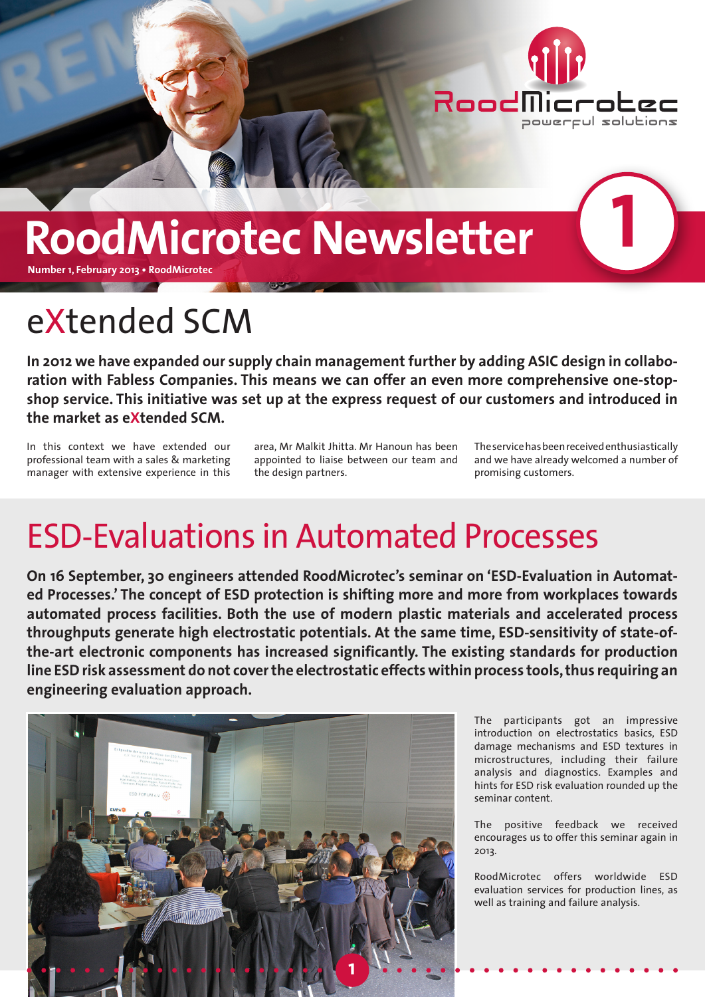

# **RoodMicrotec Newsletter**

**Number 1, February 2013 • RoodMicrotec**

#### eXtended SCM

**In 2012 we have expanded our supply chain management further by adding ASIC design in collaboration with Fabless Companies. This means we can offer an even more comprehensive one-stopshop service. This initiative was set up at the express request of our customers and introduced in the market as eXtended SCM.** 

In this context we have extended our professional team with a sales & marketing manager with extensive experience in this

area, Mr Malkit Jhitta. Mr Hanoun has been appointed to liaise between our team and the design partners.

The service has been received enthusiastically and we have already welcomed a number of promising customers.

**1**

#### ESD-Evaluations in Automated Processes

**On 16 September, 30 engineers attended RoodMicrotec's seminar on 'ESD-Evaluation in Automated Processes.' The concept of ESD protection is shifting more and more from workplaces towards automated process facilities. Both the use of modern plastic materials and accelerated process throughputs generate high electrostatic potentials. At the same time, ESD-sensitivity of state-ofthe-art electronic components has increased significantly. The existing standards for production line ESD risk assessment do not cover the electrostatic effects within process tools, thus requiring an engineering evaluation approach.**



The participants got an impressive introduction on electrostatics basics, ESD damage mechanisms and ESD textures in microstructures, including their failure analysis and diagnostics. Examples and hints for ESD risk evaluation rounded up the seminar content.

The positive feedback we received encourages us to offer this seminar again in 2013.

RoodMicrotec offers worldwide ESD evaluation services for production lines, as well as training and failure analysis.